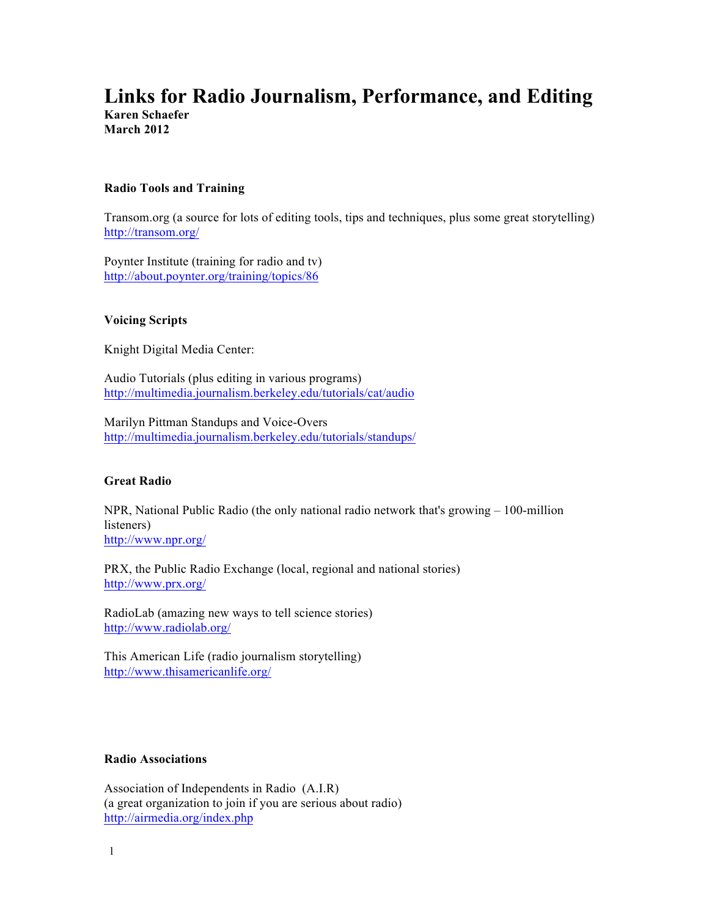# **Links for Radio Journalism, Performance, and Editing Karen Schaefer**

**March 2012**

# **Radio Tools and Training**

Transom.org (a source for lots of editing tools, tips and techniques, plus some great storytelling) http://transom.org/

Poynter Institute (training for radio and tv) http://about.poynter.org/training/topics/86

# **Voicing Scripts**

Knight Digital Media Center:

Audio Tutorials (plus editing in various programs) http://multimedia.journalism.berkeley.edu/tutorials/cat/audio

Marilyn Pittman Standups and Voice-Overs http://multimedia.journalism.berkeley.edu/tutorials/standups/

# **Great Radio**

NPR, National Public Radio (the only national radio network that's growing – 100-million listeners) http://www.npr.org/

PRX, the Public Radio Exchange (local, regional and national stories) http://www.prx.org/

RadioLab (amazing new ways to tell science stories) http://www.radiolab.org/

This American Life (radio journalism storytelling) http://www.thisamericanlife.org/

# **Radio Associations**

Association of Independents in Radio (A.I.R) (a great organization to join if you are serious about radio) http://airmedia.org/index.php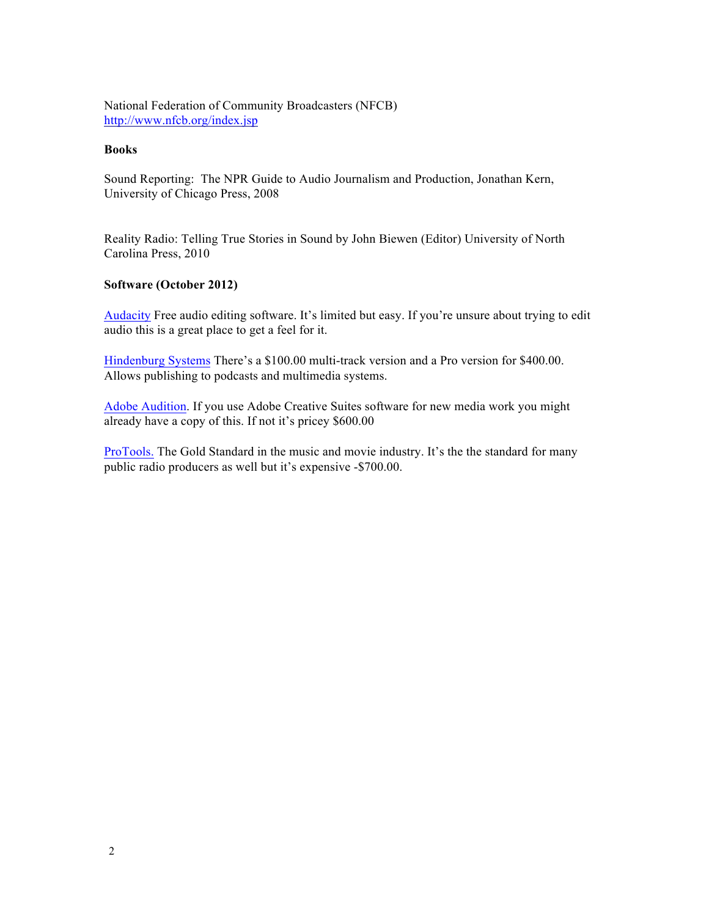National Federation of Community Broadcasters (NFCB) http://www.nfcb.org/index.jsp

### **Books**

Sound Reporting: The NPR Guide to Audio Journalism and Production, Jonathan Kern, University of Chicago Press, 2008

Reality Radio: Telling True Stories in Sound by John Biewen (Editor) University of North Carolina Press, 2010

### **Software (October 2012)**

Audacity Free audio editing software. It's limited but easy. If you're unsure about trying to edit audio this is a great place to get a feel for it.

Hindenburg Systems There's a \$100.00 multi-track version and a Pro version for \$400.00. Allows publishing to podcasts and multimedia systems.

Adobe Audition. If you use Adobe Creative Suites software for new media work you might already have a copy of this. If not it's pricey \$600.00

ProTools. The Gold Standard in the music and movie industry. It's the the standard for many public radio producers as well but it's expensive -\$700.00.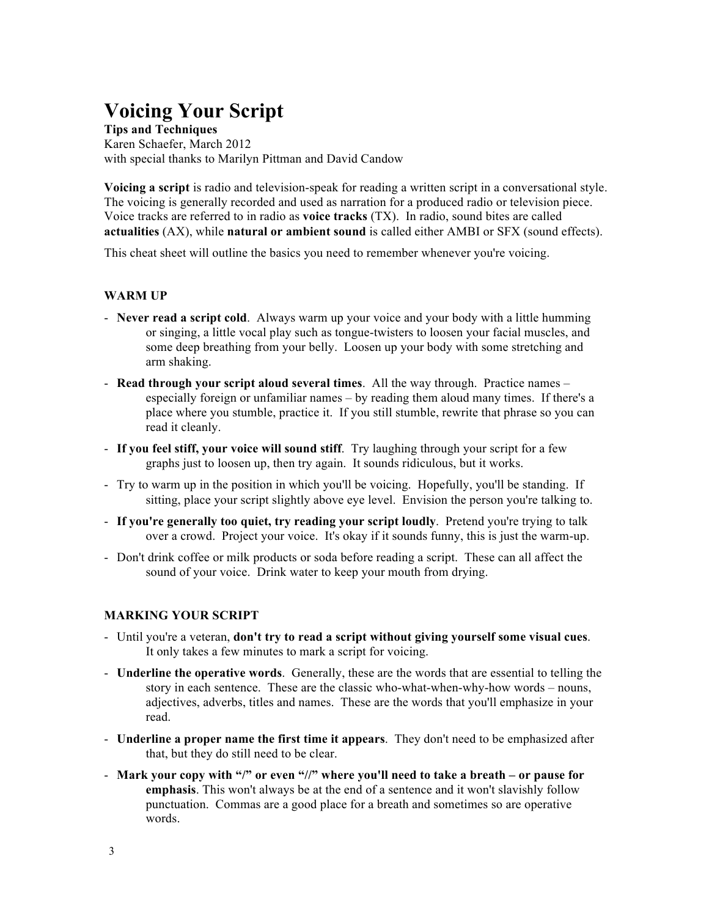# **Voicing Your Script**

**Tips and Techniques** Karen Schaefer, March 2012 with special thanks to Marilyn Pittman and David Candow

**Voicing a script** is radio and television-speak for reading a written script in a conversational style. The voicing is generally recorded and used as narration for a produced radio or television piece. Voice tracks are referred to in radio as **voice tracks** (TX). In radio, sound bites are called **actualities** (AX), while **natural or ambient sound** is called either AMBI or SFX (sound effects).

This cheat sheet will outline the basics you need to remember whenever you're voicing.

### **WARM UP**

- **Never read a script cold**. Always warm up your voice and your body with a little humming or singing, a little vocal play such as tongue-twisters to loosen your facial muscles, and some deep breathing from your belly. Loosen up your body with some stretching and arm shaking.
- **Read through your script aloud several times**. All the way through. Practice names especially foreign or unfamiliar names – by reading them aloud many times. If there's a place where you stumble, practice it. If you still stumble, rewrite that phrase so you can read it cleanly.
- **If you feel stiff, your voice will sound stiff**. Try laughing through your script for a few graphs just to loosen up, then try again. It sounds ridiculous, but it works.
- Try to warm up in the position in which you'll be voicing. Hopefully, you'll be standing. If sitting, place your script slightly above eye level. Envision the person you're talking to.
- **If you're generally too quiet, try reading your script loudly**. Pretend you're trying to talk over a crowd. Project your voice. It's okay if it sounds funny, this is just the warm-up.
- Don't drink coffee or milk products or soda before reading a script. These can all affect the sound of your voice. Drink water to keep your mouth from drying.

### **MARKING YOUR SCRIPT**

- Until you're a veteran, **don't try to read a script without giving yourself some visual cues**. It only takes a few minutes to mark a script for voicing.
- **Underline the operative words**. Generally, these are the words that are essential to telling the story in each sentence. These are the classic who-what-when-why-how words – nouns, adjectives, adverbs, titles and names. These are the words that you'll emphasize in your read.
- **Underline a proper name the first time it appears**. They don't need to be emphasized after that, but they do still need to be clear.
- **Mark your copy with "/" or even "//" where you'll need to take a breath – or pause for emphasis**. This won't always be at the end of a sentence and it won't slavishly follow punctuation. Commas are a good place for a breath and sometimes so are operative words.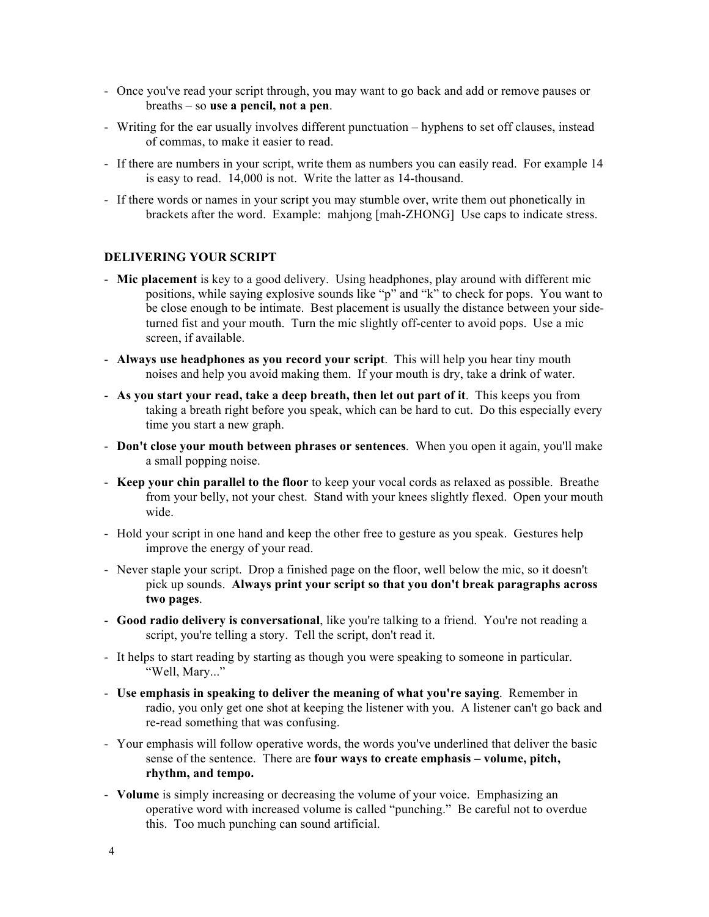- Once you've read your script through, you may want to go back and add or remove pauses or breaths – so **use a pencil, not a pen**.
- Writing for the ear usually involves different punctuation hyphens to set off clauses, instead of commas, to make it easier to read.
- If there are numbers in your script, write them as numbers you can easily read. For example 14 is easy to read. 14,000 is not. Write the latter as 14-thousand.
- If there words or names in your script you may stumble over, write them out phonetically in brackets after the word. Example: mahjong [mah-ZHONG] Use caps to indicate stress.

### **DELIVERING YOUR SCRIPT**

- **Mic placement** is key to a good delivery. Using headphones, play around with different mic positions, while saying explosive sounds like " $p$ " and "k" to check for pops. You want to be close enough to be intimate. Best placement is usually the distance between your sideturned fist and your mouth. Turn the mic slightly off-center to avoid pops. Use a mic screen, if available.
- **Always use headphones as you record your script**. This will help you hear tiny mouth noises and help you avoid making them. If your mouth is dry, take a drink of water.
- **As you start your read, take a deep breath, then let out part of it**. This keeps you from taking a breath right before you speak, which can be hard to cut. Do this especially every time you start a new graph.
- **Don't close your mouth between phrases or sentences**. When you open it again, you'll make a small popping noise.
- **Keep your chin parallel to the floor** to keep your vocal cords as relaxed as possible. Breathe from your belly, not your chest. Stand with your knees slightly flexed. Open your mouth wide.
- Hold your script in one hand and keep the other free to gesture as you speak. Gestures help improve the energy of your read.
- Never staple your script. Drop a finished page on the floor, well below the mic, so it doesn't pick up sounds. **Always print your script so that you don't break paragraphs across two pages**.
- **Good radio delivery is conversational**, like you're talking to a friend. You're not reading a script, you're telling a story. Tell the script, don't read it.
- It helps to start reading by starting as though you were speaking to someone in particular. "Well, Mary..."
- **Use emphasis in speaking to deliver the meaning of what you're saying**. Remember in radio, you only get one shot at keeping the listener with you. A listener can't go back and re-read something that was confusing.
- Your emphasis will follow operative words, the words you've underlined that deliver the basic sense of the sentence. There are **four ways to create emphasis – volume, pitch, rhythm, and tempo.**
- **Volume** is simply increasing or decreasing the volume of your voice. Emphasizing an operative word with increased volume is called "punching." Be careful not to overdue this. Too much punching can sound artificial.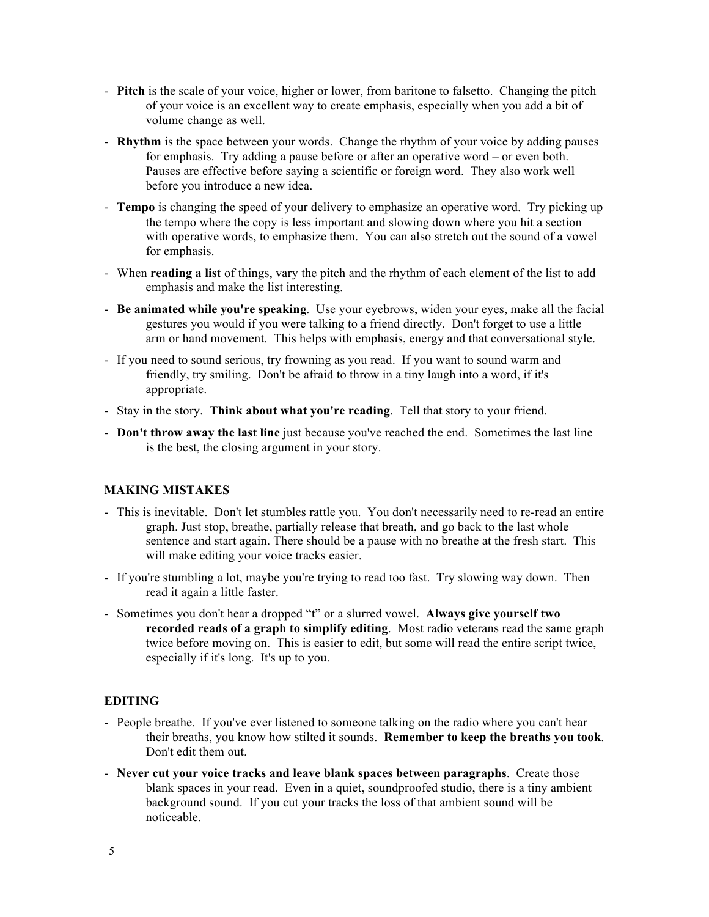- **Pitch** is the scale of your voice, higher or lower, from baritone to falsetto. Changing the pitch of your voice is an excellent way to create emphasis, especially when you add a bit of volume change as well.
- **Rhythm** is the space between your words. Change the rhythm of your voice by adding pauses for emphasis. Try adding a pause before or after an operative word – or even both. Pauses are effective before saying a scientific or foreign word. They also work well before you introduce a new idea.
- **Tempo** is changing the speed of your delivery to emphasize an operative word. Try picking up the tempo where the copy is less important and slowing down where you hit a section with operative words, to emphasize them. You can also stretch out the sound of a vowel for emphasis.
- When **reading a list** of things, vary the pitch and the rhythm of each element of the list to add emphasis and make the list interesting.
- **Be animated while you're speaking**. Use your eyebrows, widen your eyes, make all the facial gestures you would if you were talking to a friend directly. Don't forget to use a little arm or hand movement. This helps with emphasis, energy and that conversational style.
- If you need to sound serious, try frowning as you read. If you want to sound warm and friendly, try smiling. Don't be afraid to throw in a tiny laugh into a word, if it's appropriate.
- Stay in the story. **Think about what you're reading**. Tell that story to your friend.
- **Don't throw away the last line** just because you've reached the end. Sometimes the last line is the best, the closing argument in your story.

# **MAKING MISTAKES**

- This is inevitable. Don't let stumbles rattle you. You don't necessarily need to re-read an entire graph. Just stop, breathe, partially release that breath, and go back to the last whole sentence and start again. There should be a pause with no breathe at the fresh start. This will make editing your voice tracks easier.
- If you're stumbling a lot, maybe you're trying to read too fast. Try slowing way down. Then read it again a little faster.
- Sometimes you don't hear a dropped "t" or a slurred vowel. **Always give yourself two recorded reads of a graph to simplify editing**. Most radio veterans read the same graph twice before moving on. This is easier to edit, but some will read the entire script twice, especially if it's long. It's up to you.

## **EDITING**

- People breathe. If you've ever listened to someone talking on the radio where you can't hear their breaths, you know how stilted it sounds. **Remember to keep the breaths you took**. Don't edit them out.
- **Never cut your voice tracks and leave blank spaces between paragraphs**. Create those blank spaces in your read. Even in a quiet, soundproofed studio, there is a tiny ambient background sound. If you cut your tracks the loss of that ambient sound will be noticeable.